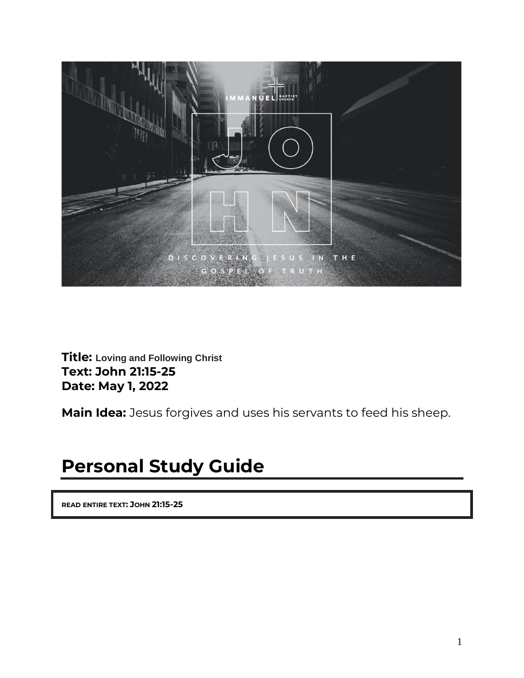

**Title: Loving and Following Christ Text: John 21:15-25 Date: May 1, 2022**

**Main Idea:** Jesus forgives and uses his servants to feed his sheep.

# **Personal Study Guide**

**READ ENTIRE TEXT: JOHN 21:15-25**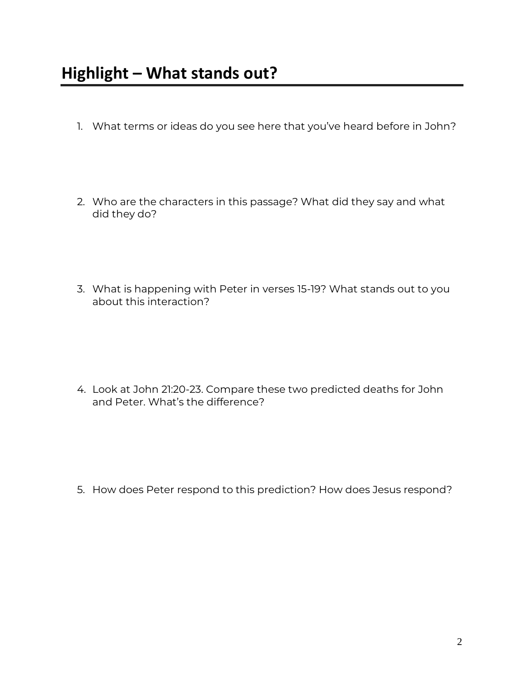- 1. What terms or ideas do you see here that you've heard before in John?
- 2. Who are the characters in this passage? What did they say and what did they do?
- 3. What is happening with Peter in verses 15-19? What stands out to you about this interaction?

4. Look at John 21:20-23. Compare these two predicted deaths for John and Peter. What's the difference?

5. How does Peter respond to this prediction? How does Jesus respond?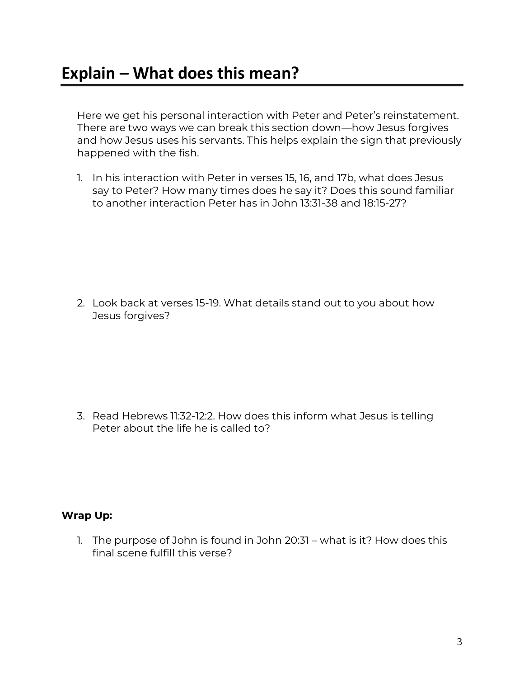Here we get his personal interaction with Peter and Peter's reinstatement. There are two ways we can break this section down—how Jesus forgives and how Jesus uses his servants. This helps explain the sign that previously happened with the fish.

1. In his interaction with Peter in verses 15, 16, and 17b, what does Jesus say to Peter? How many times does he say it? Does this sound familiar to another interaction Peter has in John 13:31-38 and 18:15-27?

2. Look back at verses 15-19. What details stand out to you about how Jesus forgives?

3. Read Hebrews 11:32-12:2. How does this inform what Jesus is telling Peter about the life he is called to?

#### **Wrap Up:**

1. The purpose of John is found in John 20:31 – what is it? How does this final scene fulfill this verse?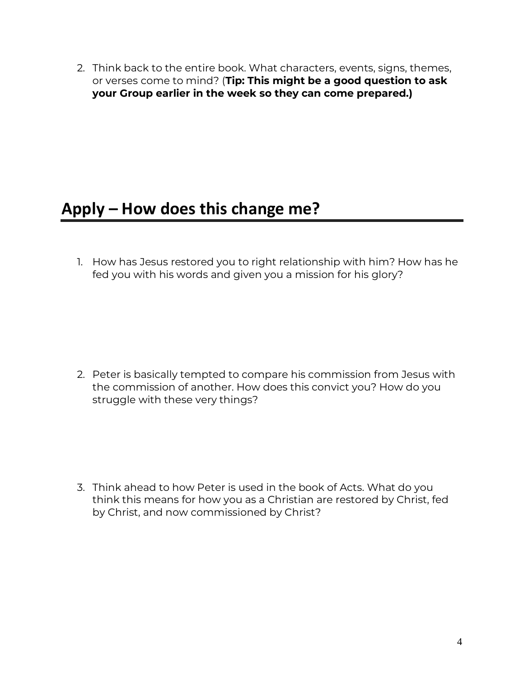2. Think back to the entire book. What characters, events, signs, themes, or verses come to mind? (**Tip: This might be a good question to ask your Group earlier in the week so they can come prepared.)**

# **Apply – How does this change me?**

1. How has Jesus restored you to right relationship with him? How has he fed you with his words and given you a mission for his glory?

2. Peter is basically tempted to compare his commission from Jesus with the commission of another. How does this convict you? How do you struggle with these very things?

3. Think ahead to how Peter is used in the book of Acts. What do you think this means for how you as a Christian are restored by Christ, fed by Christ, and now commissioned by Christ?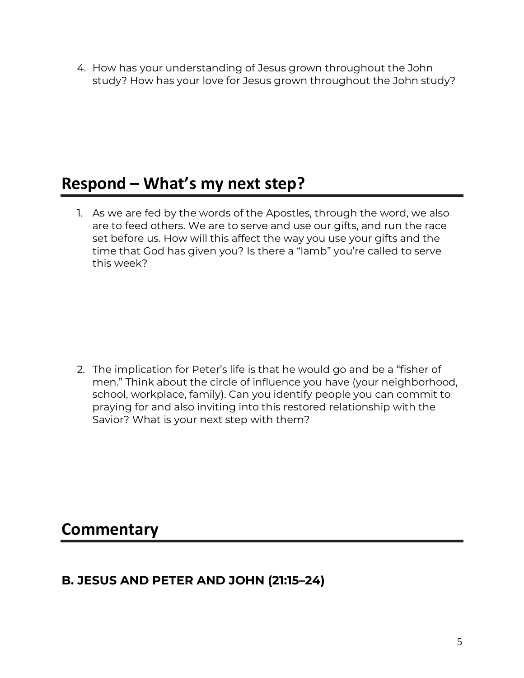4. How has your understanding of Jesus grown throughout the John study? How has your love for Jesus grown throughout the John study?

# **Respond – What's my next step?**

1. As we are fed by the words of the Apostles, through the word, we also are to feed others. We are to serve and use our gifts, and run the race set before us. How will this affect the way you use your gifts and the time that God has given you? Is there a "lamb" you're called to serve this week?

2. The implication for Peter's life is that he would go and be a "fisher of men." Think about the circle of influence you have (your neighborhood, school, workplace, family). Can you identify people you can commit to praying for and also inviting into this restored relationship with the Savior? What is your next step with them?

### **Commentary**

### **B. JESUS AND PETER AND JOHN (21:15–24)**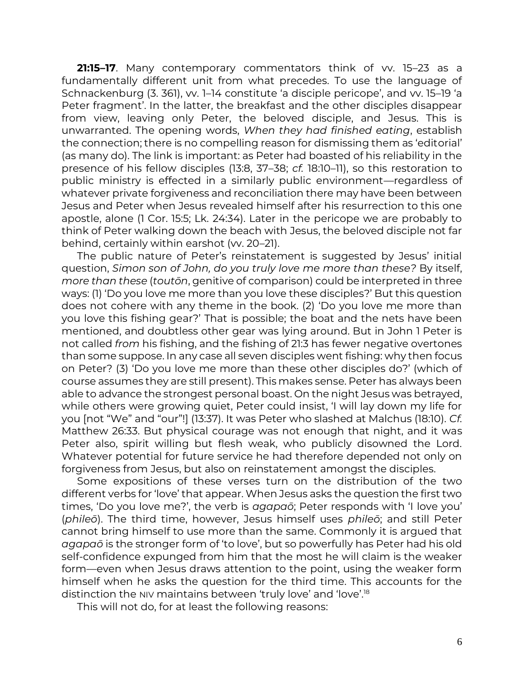**21:15–17**. Many contemporary commentators think of vv. 15–23 as a fundamentally different unit from what precedes. To use the language of Schnackenburg (3. 361), vv. 1–14 constitute 'a disciple pericope', and vv. 15–19 'a Peter fragment'. In the latter, the breakfast and the other disciples disappear from view, leaving only Peter, the beloved disciple, and Jesus. This is unwarranted. The opening words, *When they had finished eating*, establish the connection; there is no compelling reason for dismissing them as 'editorial' (as many do). The link is important: as Peter had boasted of his reliability in the presence of his fellow disciples (13:8, 37–38; *cf.* 18:10–11), so this restoration to public ministry is effected in a similarly public environment—regardless of whatever private forgiveness and reconciliation there may have been between Jesus and Peter when Jesus revealed himself after his resurrection to this one apostle, alone (1 Cor. 15:5; Lk. 24:34). Later in the pericope we are probably to think of Peter walking down the beach with Jesus, the beloved disciple not far behind, certainly within earshot (vv. 20–21).

The public nature of Peter's reinstatement is suggested by Jesus' initial question, *Simon son of John, do you truly love me more than these?* By itself, *more than these* (*toutōn*, genitive of comparison) could be interpreted in three ways: (1) 'Do you love me more than you love these disciples?' But this question does not cohere with any theme in the book. (2) 'Do you love me more than you love this fishing gear?' That is possible; the boat and the nets have been mentioned, and doubtless other gear was lying around. But in John 1 Peter is not called *from* his fishing, and the fishing of 21:3 has fewer negative overtones than some suppose. In any case all seven disciples went fishing: why then focus on Peter? (3) 'Do you love me more than these other disciples do?' (which of course assumes they are still present). This makes sense. Peter has always been able to advance the strongest personal boast. On the night Jesus was betrayed, while others were growing quiet, Peter could insist, 'I will lay down my life for you [not "We" and "our"!] (13:37). It was Peter who slashed at Malchus (18:10). *Cf.* Matthew 26:33. But physical courage was not enough that night, and it was Peter also, spirit willing but flesh weak, who publicly disowned the Lord. Whatever potential for future service he had therefore depended not only on forgiveness from Jesus, but also on reinstatement amongst the disciples.

Some expositions of these verses turn on the distribution of the two different verbs for 'love' that appear. When Jesus asks the question the first two times, 'Do you love me?', the verb is *agapaō*; Peter responds with 'I love you' (*phileō*). The third time, however, Jesus himself uses *phileō*; and still Peter cannot bring himself to use more than the same. Commonly it is argued that *agapaō* is the stronger form of 'to love', but so powerfully has Peter had his old self-confidence expunged from him that the most he will claim is the weaker form—even when Jesus draws attention to the point, using the weaker form himself when he asks the question for the third time. This accounts for the distinction the NIV maintains between 'truly love' and 'love'.<sup>18</sup>

This will not do, for at least the following reasons: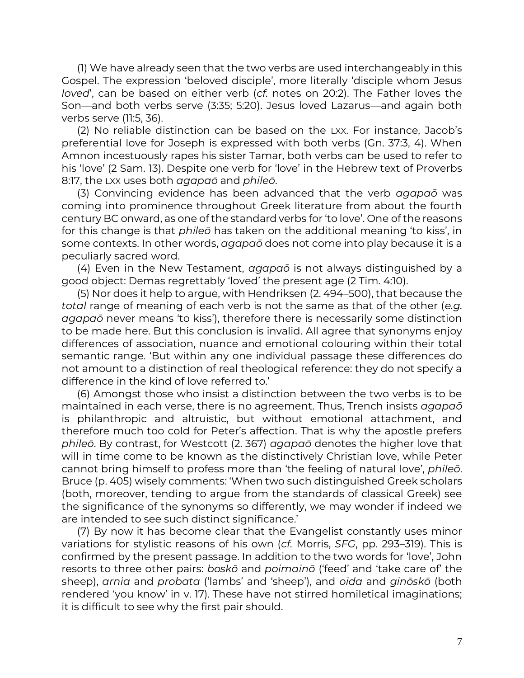(1) We have already seen that the two verbs are used interchangeably in this Gospel. The expression 'beloved disciple', more literally 'disciple whom Jesus *loved*', can be based on either verb (*cf.* notes on 20:2). The Father loves the Son—and both verbs serve (3:35; 5:20). Jesus loved Lazarus—and again both verbs serve (11:5, 36).

(2) No reliable distinction can be based on the LXX. For instance, Jacob's preferential love for Joseph is expressed with both verbs (Gn. 37:3, 4). When Amnon incestuously rapes his sister Tamar, both verbs can be used to refer to his 'love' (2 Sam. 13). Despite one verb for 'love' in the Hebrew text of Proverbs 8:17, the LXX uses both *agapaō* and *phileō*.

(3) Convincing evidence has been advanced that the verb *agapaō* was coming into prominence throughout Greek literature from about the fourth century BC onward, as one of the standard verbs for 'to love'. One of the reasons for this change is that *phileō* has taken on the additional meaning 'to kiss', in some contexts. In other words, *agapaō* does not come into play because it is a peculiarly sacred word.

(4) Even in the New Testament, *agapaō* is not always distinguished by a good object: Demas regrettably 'loved' the present age (2 Tim. 4:10).

(5) Nor does it help to argue, with Hendriksen (2. 494–500), that because the *total* range of meaning of each verb is not the same as that of the other (*e.g. agapaō* never means 'to kiss'), therefore there is necessarily some distinction to be made here. But this conclusion is invalid. All agree that synonyms enjoy differences of association, nuance and emotional colouring within their total semantic range. 'But within any one individual passage these differences do not amount to a distinction of real theological reference: they do not specify a difference in the kind of love referred to.'

(6) Amongst those who insist a distinction between the two verbs is to be maintained in each verse, there is no agreement. Thus, Trench insists *agapaō* is philanthropic and altruistic, but without emotional attachment, and therefore much too cold for Peter's affection. That is why the apostle prefers *phileō*. By contrast, for Westcott (2. 367) *agapaō* denotes the higher love that will in time come to be known as the distinctively Christian love, while Peter cannot bring himself to profess more than 'the feeling of natural love', *phileō*. Bruce (p. 405) wisely comments: 'When two such distinguished Greek scholars (both, moreover, tending to argue from the standards of classical Greek) see the significance of the synonyms so differently, we may wonder if indeed we are intended to see such distinct significance.'

(7) By now it has become clear that the Evangelist constantly uses minor variations for stylistic reasons of his own (*cf.* Morris, *SFG*, pp. 293–319). This is confirmed by the present passage. In addition to the two words for 'love', John resorts to three other pairs: *boskō* and *poimainō* ('feed' and 'take care of' the sheep), *arnia* and *probata* ('lambs' and 'sheep'), and *oida* and *ginōskō* (both rendered 'you know' in v. 17). These have not stirred homiletical imaginations; it is difficult to see why the first pair should.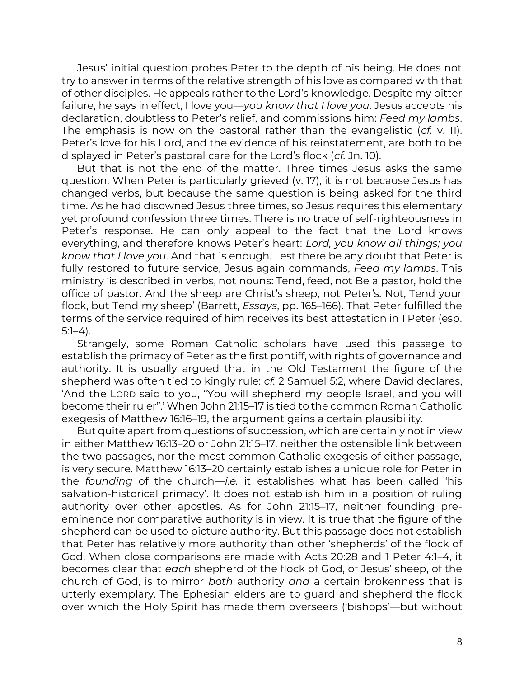Jesus' initial question probes Peter to the depth of his being. He does not try to answer in terms of the relative strength of his love as compared with that of other disciples. He appeals rather to the Lord's knowledge. Despite my bitter failure, he says in effect, I love you—*you know that I love you*. Jesus accepts his declaration, doubtless to Peter's relief, and commissions him: *Feed my lambs*. The emphasis is now on the pastoral rather than the evangelistic (*cf.* v. 11). Peter's love for his Lord, and the evidence of his reinstatement, are both to be displayed in Peter's pastoral care for the Lord's flock (*cf.* Jn. 10).

But that is not the end of the matter. Three times Jesus asks the same question. When Peter is particularly grieved (v. 17), it is not because Jesus has changed verbs, but because the same question is being asked for the third time. As he had disowned Jesus three times, so Jesus requires this elementary yet profound confession three times. There is no trace of self-righteousness in Peter's response. He can only appeal to the fact that the Lord knows everything, and therefore knows Peter's heart: *Lord, you know all things; you know that I love you*. And that is enough. Lest there be any doubt that Peter is fully restored to future service, Jesus again commands, *Feed my lambs*. This ministry 'is described in verbs, not nouns: Tend, feed, not Be a pastor, hold the office of pastor. And the sheep are Christ's sheep, not Peter's. Not, Tend your flock, but Tend my sheep' (Barrett, *Essays*, pp. 165–166). That Peter fulfilled the terms of the service required of him receives its best attestation in 1 Peter (esp.  $5:1-4$ ).

Strangely, some Roman Catholic scholars have used this passage to establish the primacy of Peter as the first pontiff, with rights of governance and authority. It is usually argued that in the Old Testament the figure of the shepherd was often tied to kingly rule: *cf.* 2 Samuel 5:2, where David declares, 'And the LORD said to you, "You will shepherd my people Israel, and you will become their ruler".' When John 21:15–17 is tied to the common Roman Catholic exegesis of Matthew 16:16–19, the argument gains a certain plausibility.

But quite apart from questions of succession, which are certainly not in view in either Matthew 16:13–20 or John 21:15–17, neither the ostensible link between the two passages, nor the most common Catholic exegesis of either passage, is very secure. Matthew 16:13–20 certainly establishes a unique role for Peter in the *founding* of the church—*i.e.* it establishes what has been called 'his salvation-historical primacy'. It does not establish him in a position of ruling authority over other apostles. As for John 21:15–17, neither founding preeminence nor comparative authority is in view. It is true that the figure of the shepherd can be used to picture authority. But this passage does not establish that Peter has relatively more authority than other 'shepherds' of the flock of God. When close comparisons are made with Acts 20:28 and 1 Peter 4:1–4, it becomes clear that *each* shepherd of the flock of God, of Jesus' sheep, of the church of God, is to mirror *both* authority *and* a certain brokenness that is utterly exemplary. The Ephesian elders are to guard and shepherd the flock over which the Holy Spirit has made them overseers ('bishops'—but without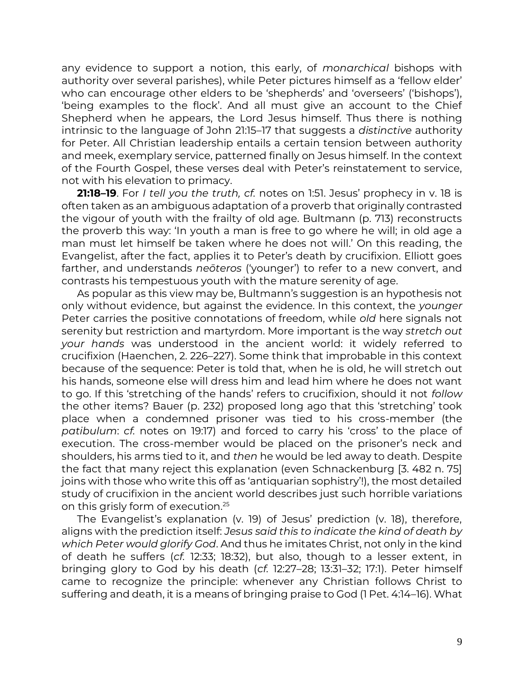any evidence to support a notion, this early, of *monarchical* bishops with authority over several parishes), while Peter pictures himself as a 'fellow elder' who can encourage other elders to be 'shepherds' and 'overseers' ('bishops'), 'being examples to the flock'. And all must give an account to the Chief Shepherd when he appears, the Lord Jesus himself. Thus there is nothing intrinsic to the language of John 21:15–17 that suggests a *distinctive* authority for Peter. All Christian leadership entails a certain tension between authority and meek, exemplary service, patterned finally on Jesus himself. In the context of the Fourth Gospel, these verses deal with Peter's reinstatement to service, not with his elevation to primacy.

**21:18–19**. For *I tell you the truth, cf.* notes on 1:51. Jesus' prophecy in v. 18 is often taken as an ambiguous adaptation of a proverb that originally contrasted the vigour of youth with the frailty of old age. Bultmann (p. 713) reconstructs the proverb this way: 'In youth a man is free to go where he will; in old age a man must let himself be taken where he does not will.' On this reading, the Evangelist, after the fact, applies it to Peter's death by crucifixion. Elliott goes farther, and understands *neōteros* ('younger') to refer to a new convert, and contrasts his tempestuous youth with the mature serenity of age.

As popular as this view may be, Bultmann's suggestion is an hypothesis not only without evidence, but against the evidence. In this context, the *younger* Peter carries the positive connotations of freedom, while *old* here signals not serenity but restriction and martyrdom. More important is the way *stretch out your hands* was understood in the ancient world: it widely referred to crucifixion (Haenchen, 2. 226–227). Some think that improbable in this context because of the sequence: Peter is told that, when he is old, he will stretch out his hands, someone else will dress him and lead him where he does not want to go. If this 'stretching of the hands' refers to crucifixion, should it not *follow* the other items? Bauer (p. 232) proposed long ago that this 'stretching' took place when a condemned prisoner was tied to his cross-member (the *patibulum*: *cf.* notes on 19:17) and forced to carry his 'cross' to the place of execution. The cross-member would be placed on the prisoner's neck and shoulders, his arms tied to it, and *then* he would be led away to death. Despite the fact that many reject this explanation (even Schnackenburg [3. 482 n. 75] joins with those who write this off as 'antiquarian sophistry'!), the most detailed study of crucifixion in the ancient world describes just such horrible variations on this grisly form of execution.<sup>25</sup>

The Evangelist's explanation (v. 19) of Jesus' prediction (v. 18), therefore, aligns with the prediction itself: *Jesus said this to indicate the kind of death by which Peter would glorify God*. And thus he imitates Christ, not only in the kind of death he suffers (*cf.* 12:33; 18:32), but also, though to a lesser extent, in bringing glory to God by his death (*cf.* 12:27–28; 13:31–32; 17:1). Peter himself came to recognize the principle: whenever any Christian follows Christ to suffering and death, it is a means of bringing praise to God (1 Pet. 4:14–16). What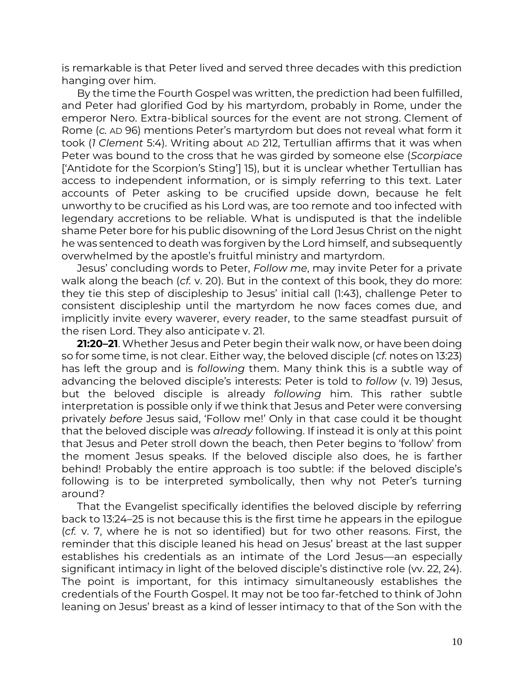is remarkable is that Peter lived and served three decades with this prediction hanging over him.

By the time the Fourth Gospel was written, the prediction had been fulfilled, and Peter had glorified God by his martyrdom, probably in Rome, under the emperor Nero. Extra-biblical sources for the event are not strong. Clement of Rome (*c.* AD 96) mentions Peter's martyrdom but does not reveal what form it took (*1 Clement* 5:4). Writing about AD 212, Tertullian affirms that it was when Peter was bound to the cross that he was girded by someone else (*Scorpiace* ['Antidote for the Scorpion's Sting'] 15), but it is unclear whether Tertullian has access to independent information, or is simply referring to this text. Later accounts of Peter asking to be crucified upside down, because he felt unworthy to be crucified as his Lord was, are too remote and too infected with legendary accretions to be reliable. What is undisputed is that the indelible shame Peter bore for his public disowning of the Lord Jesus Christ on the night he was sentenced to death was forgiven by the Lord himself, and subsequently overwhelmed by the apostle's fruitful ministry and martyrdom.

Jesus' concluding words to Peter, *Follow me*, may invite Peter for a private walk along the beach (*cf.* v. 20). But in the context of this book, they do more: they tie this step of discipleship to Jesus' initial call (1:43), challenge Peter to consistent discipleship until the martyrdom he now faces comes due, and implicitly invite every waverer, every reader, to the same steadfast pursuit of the risen Lord. They also anticipate v. 21.

**21:20–21**. Whether Jesus and Peter begin their walk now, or have been doing so for some time, is not clear. Either way, the beloved disciple (*cf.* notes on 13:23) has left the group and is *following* them. Many think this is a subtle way of advancing the beloved disciple's interests: Peter is told to *follow* (v. 19) Jesus, but the beloved disciple is already *following* him. This rather subtle interpretation is possible only if we think that Jesus and Peter were conversing privately *before* Jesus said, 'Follow me!' Only in that case could it be thought that the beloved disciple was *already* following. If instead it is only at this point that Jesus and Peter stroll down the beach, then Peter begins to 'follow' from the moment Jesus speaks. If the beloved disciple also does, he is farther behind! Probably the entire approach is too subtle: if the beloved disciple's following is to be interpreted symbolically, then why not Peter's turning around?

That the Evangelist specifically identifies the beloved disciple by referring back to 13:24–25 is not because this is the first time he appears in the epilogue (*cf.* v. 7, where he is not so identified) but for two other reasons. First, the reminder that this disciple leaned his head on Jesus' breast at the last supper establishes his credentials as an intimate of the Lord Jesus—an especially significant intimacy in light of the beloved disciple's distinctive role (vv. 22, 24). The point is important, for this intimacy simultaneously establishes the credentials of the Fourth Gospel. It may not be too far-fetched to think of John leaning on Jesus' breast as a kind of lesser intimacy to that of the Son with the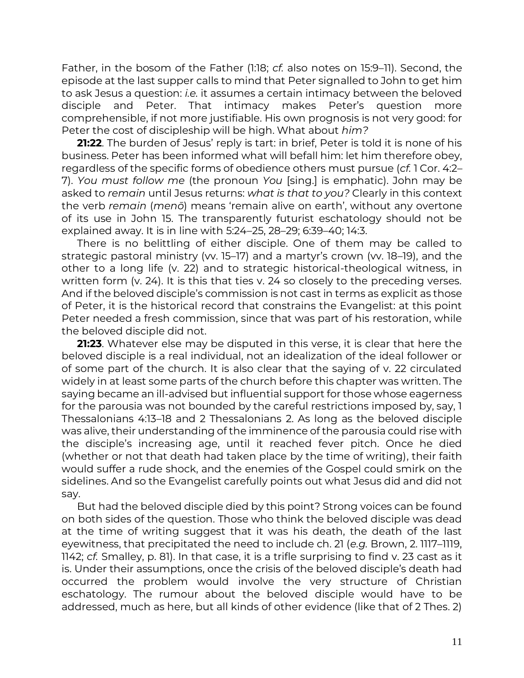Father, in the bosom of the Father (1:18; *cf.* also notes on 15:9–11). Second, the episode at the last supper calls to mind that Peter signalled to John to get him to ask Jesus a question: *i.e.* it assumes a certain intimacy between the beloved disciple and Peter. That intimacy makes Peter's question more comprehensible, if not more justifiable. His own prognosis is not very good: for Peter the cost of discipleship will be high. What about *him?*

**21:22**. The burden of Jesus' reply is tart: in brief, Peter is told it is none of his business. Peter has been informed what will befall him: let him therefore obey, regardless of the specific forms of obedience others must pursue (*cf.* 1 Cor. 4:2– 7). *You must follow me* (the pronoun *You* [sing.] is emphatic). John may be asked to *remain* until Jesus returns: *what is that to you?* Clearly in this context the verb *remain* (*menō*) means 'remain alive on earth', without any overtone of its use in John 15. The transparently futurist eschatology should not be explained away. It is in line with 5:24–25, 28–29; 6:39–40; 14:3.

There is no belittling of either disciple. One of them may be called to strategic pastoral ministry (vv. 15–17) and a martyr's crown (vv. 18–19), and the other to a long life (v. 22) and to strategic historical-theological witness, in written form (v. 24). It is this that ties v. 24 so closely to the preceding verses. And if the beloved disciple's commission is not cast in terms as explicit as those of Peter, it is the historical record that constrains the Evangelist: at this point Peter needed a fresh commission, since that was part of his restoration, while the beloved disciple did not.

**21:23**. Whatever else may be disputed in this verse, it is clear that here the beloved disciple is a real individual, not an idealization of the ideal follower or of some part of the church. It is also clear that the saying of v. 22 circulated widely in at least some parts of the church before this chapter was written. The saying became an ill-advised but influential support for those whose eagerness for the parousia was not bounded by the careful restrictions imposed by, say, 1 Thessalonians 4:13–18 and 2 Thessalonians 2. As long as the beloved disciple was alive, their understanding of the imminence of the parousia could rise with the disciple's increasing age, until it reached fever pitch. Once he died (whether or not that death had taken place by the time of writing), their faith would suffer a rude shock, and the enemies of the Gospel could smirk on the sidelines. And so the Evangelist carefully points out what Jesus did and did not say.

But had the beloved disciple died by this point? Strong voices can be found on both sides of the question. Those who think the beloved disciple was dead at the time of writing suggest that it was his death, the death of the last eyewitness, that precipitated the need to include ch. 21 (*e.g.* Brown, 2. 1117–1119, 1142; *cf.* Smalley, p. 81). In that case, it is a trifle surprising to find v. 23 cast as it is. Under their assumptions, once the crisis of the beloved disciple's death had occurred the problem would involve the very structure of Christian eschatology. The rumour about the beloved disciple would have to be addressed, much as here, but all kinds of other evidence (like that of 2 Thes. 2)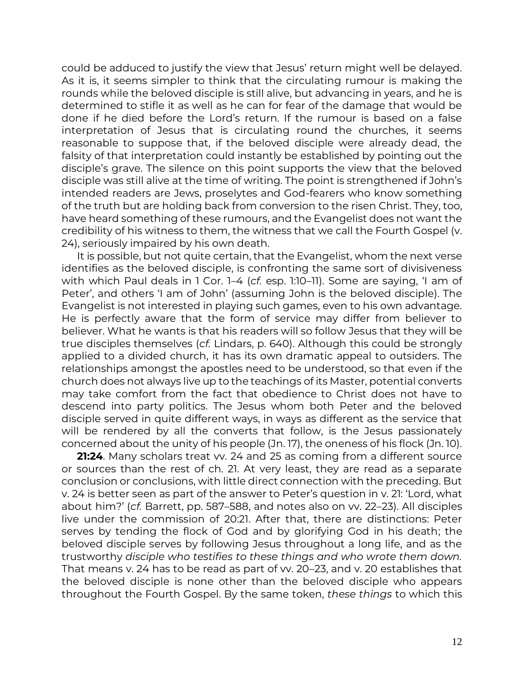could be adduced to justify the view that Jesus' return might well be delayed. As it is, it seems simpler to think that the circulating rumour is making the rounds while the beloved disciple is still alive, but advancing in years, and he is determined to stifle it as well as he can for fear of the damage that would be done if he died before the Lord's return. If the rumour is based on a false interpretation of Jesus that is circulating round the churches, it seems reasonable to suppose that, if the beloved disciple were already dead, the falsity of that interpretation could instantly be established by pointing out the disciple's grave. The silence on this point supports the view that the beloved disciple was still alive at the time of writing. The point is strengthened if John's intended readers are Jews, proselytes and God-fearers who know something of the truth but are holding back from conversion to the risen Christ. They, too, have heard something of these rumours, and the Evangelist does not want the credibility of his witness to them, the witness that we call the Fourth Gospel (v. 24), seriously impaired by his own death.

It is possible, but not quite certain, that the Evangelist, whom the next verse identifies as the beloved disciple, is confronting the same sort of divisiveness with which Paul deals in 1 Cor. 1–4 (*cf.* esp. 1:10–11). Some are saying, 'I am of Peter', and others 'I am of John' (assuming John is the beloved disciple). The Evangelist is not interested in playing such games, even to his own advantage. He is perfectly aware that the form of service may differ from believer to believer. What he wants is that his readers will so follow Jesus that they will be true disciples themselves (*cf.* Lindars, p. 640). Although this could be strongly applied to a divided church, it has its own dramatic appeal to outsiders. The relationships amongst the apostles need to be understood, so that even if the church does not always live up to the teachings of its Master, potential converts may take comfort from the fact that obedience to Christ does not have to descend into party politics. The Jesus whom both Peter and the beloved disciple served in quite different ways, in ways as different as the service that will be rendered by all the converts that follow, is the Jesus passionately concerned about the unity of his people (Jn. 17), the oneness of his flock (Jn. 10).

**21:24**. Many scholars treat vv. 24 and 25 as coming from a different source or sources than the rest of ch. 21. At very least, they are read as a separate conclusion or conclusions, with little direct connection with the preceding. But v. 24 is better seen as part of the answer to Peter's question in v. 21: 'Lord, what about him?' (*cf.* Barrett, pp. 587–588, and notes also on vv. 22–23). All disciples live under the commission of 20:21. After that, there are distinctions: Peter serves by tending the flock of God and by glorifying God in his death; the beloved disciple serves by following Jesus throughout a long life, and as the trustworthy *disciple who testifies to these things and who wrote them down.* That means v. 24 has to be read as part of vv. 20–23, and v. 20 establishes that the beloved disciple is none other than the beloved disciple who appears throughout the Fourth Gospel. By the same token, *these things* to which this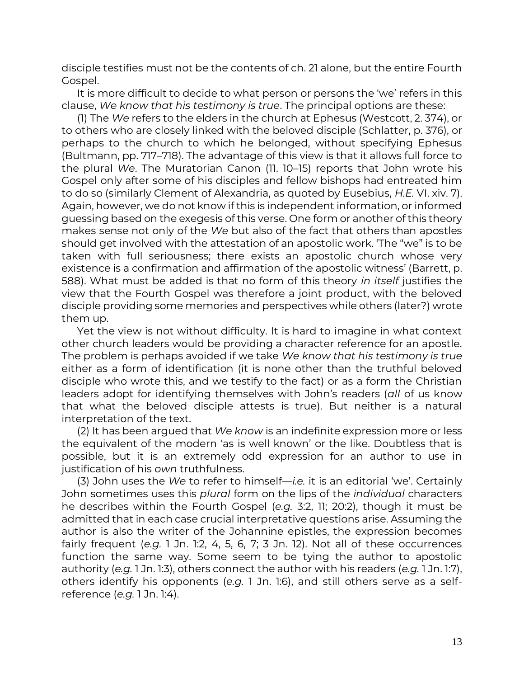disciple testifies must not be the contents of ch. 21 alone, but the entire Fourth Gospel.

It is more difficult to decide to what person or persons the 'we' refers in this clause, *We know that his testimony is true*. The principal options are these:

(1) The *We* refers to the elders in the church at Ephesus (Westcott, 2. 374), or to others who are closely linked with the beloved disciple (Schlatter, p. 376), or perhaps to the church to which he belonged, without specifying Ephesus (Bultmann, pp. 717–718). The advantage of this view is that it allows full force to the plural *We*. The Muratorian Canon (11. 10–15) reports that John wrote his Gospel only after some of his disciples and fellow bishops had entreated him to do so (similarly Clement of Alexandria, as quoted by Eusebius, *H.E.* VI. xiv. 7). Again, however, we do not know if this is independent information, or informed guessing based on the exegesis of this verse. One form or another of this theory makes sense not only of the *We* but also of the fact that others than apostles should get involved with the attestation of an apostolic work. 'The "we" is to be taken with full seriousness; there exists an apostolic church whose very existence is a confirmation and affirmation of the apostolic witness' (Barrett, p. 588). What must be added is that no form of this theory *in itself* justifies the view that the Fourth Gospel was therefore a joint product, with the beloved disciple providing some memories and perspectives while others (later?) wrote them up.

Yet the view is not without difficulty. It is hard to imagine in what context other church leaders would be providing a character reference for an apostle. The problem is perhaps avoided if we take *We know that his testimony is true* either as a form of identification (it is none other than the truthful beloved disciple who wrote this, and we testify to the fact) or as a form the Christian leaders adopt for identifying themselves with John's readers (*all* of us know that what the beloved disciple attests is true). But neither is a natural interpretation of the text.

(2) It has been argued that *We know* is an indefinite expression more or less the equivalent of the modern 'as is well known' or the like. Doubtless that is possible, but it is an extremely odd expression for an author to use in justification of his *own* truthfulness.

(3) John uses the *We* to refer to himself—*i.e.* it is an editorial 'we'. Certainly John sometimes uses this *plural* form on the lips of the *individual* characters he describes within the Fourth Gospel (*e.g.* 3:2, 11; 20:2), though it must be admitted that in each case crucial interpretative questions arise. Assuming the author is also the writer of the Johannine epistles, the expression becomes fairly frequent (*e.g.* 1 Jn. 1:2, 4, 5, 6, 7; 3 Jn. 12). Not all of these occurrences function the same way. Some seem to be tying the author to apostolic authority (*e.g.* 1 Jn. 1:3), others connect the author with his readers (*e.g.* 1 Jn. 1:7), others identify his opponents (*e.g.* 1 Jn. 1:6), and still others serve as a selfreference (*e.g.* 1 Jn. 1:4).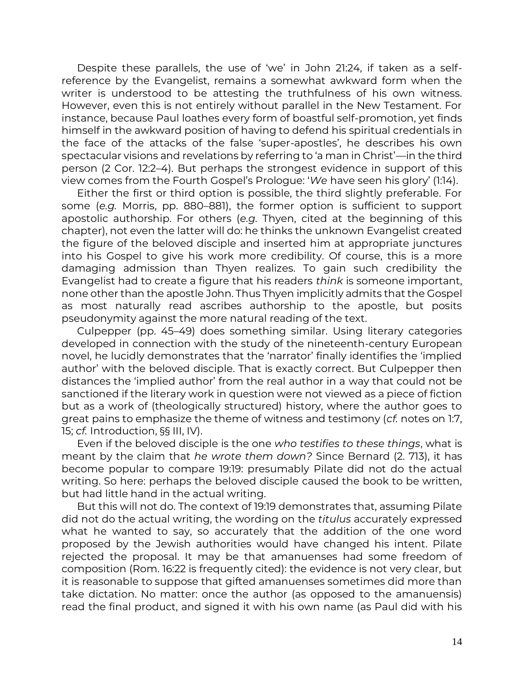Despite these parallels, the use of 'we' in John 21:24, if taken as a selfreference by the Evangelist, remains a somewhat awkward form when the writer is understood to be attesting the truthfulness of his own witness. However, even this is not entirely without parallel in the New Testament. For instance, because Paul loathes every form of boastful self-promotion, yet finds himself in the awkward position of having to defend his spiritual credentials in the face of the attacks of the false 'super-apostles', he describes his own spectacular visions and revelations by referring to 'a man in Christ'—in the third person (2 Cor. 12:2–4). But perhaps the strongest evidence in support of this view comes from the Fourth Gospel's Prologue: '*We* have seen his glory' (1:14).

Either the first or third option is possible, the third slightly preferable. For some (*e.g.* Morris, pp. 880–881), the former option is sufficient to support apostolic authorship. For others (*e.g.* Thyen, cited at the beginning of this chapter), not even the latter will do: he thinks the unknown Evangelist created the figure of the beloved disciple and inserted him at appropriate junctures into his Gospel to give his work more credibility. Of course, this is a more damaging admission than Thyen realizes. To gain such credibility the Evangelist had to create a figure that his readers *think* is someone important, none other than the apostle John. Thus Thyen implicitly admits that the Gospel as most naturally read ascribes authorship to the apostle, but posits pseudonymity against the more natural reading of the text.

Culpepper (pp. 45–49) does something similar. Using literary categories developed in connection with the study of the nineteenth-century European novel, he lucidly demonstrates that the 'narrator' finally identifies the 'implied author' with the beloved disciple. That is exactly correct. But Culpepper then distances the 'implied author' from the real author in a way that could not be sanctioned if the literary work in question were not viewed as a piece of fiction but as a work of (theologically structured) history, where the author goes to great pains to emphasize the theme of witness and testimony (*cf.* notes on 1:7, 15; *cf.* Introduction, §§ III, IV).

Even if the beloved disciple is the one *who testifies to these things*, what is meant by the claim that *he wrote them down?* Since Bernard (2. 713), it has become popular to compare 19:19: presumably Pilate did not do the actual writing. So here: perhaps the beloved disciple caused the book to be written, but had little hand in the actual writing.

But this will not do. The context of 19:19 demonstrates that, assuming Pilate did not do the actual writing, the wording on the *titulus* accurately expressed what he wanted to say, so accurately that the addition of the one word proposed by the Jewish authorities would have changed his intent. Pilate rejected the proposal. It may be that amanuenses had some freedom of composition (Rom. 16:22 is frequently cited): the evidence is not very clear, but it is reasonable to suppose that gifted amanuenses sometimes did more than take dictation. No matter: once the author (as opposed to the amanuensis) read the final product, and signed it with his own name (as Paul did with his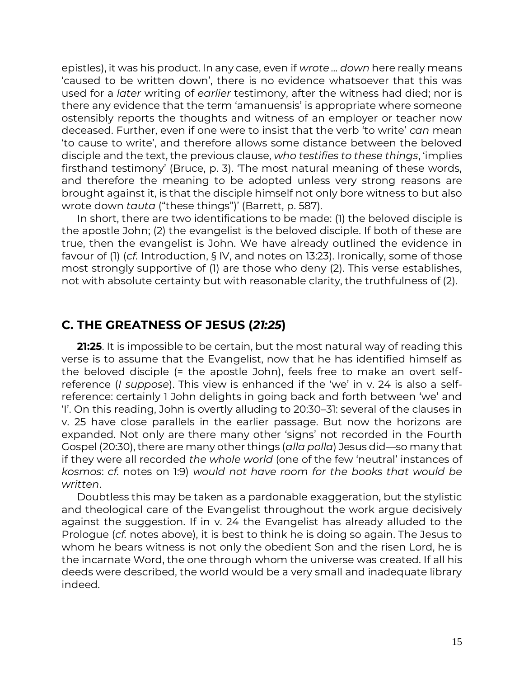epistles), it was his product. In any case, even if *wrote … down* here really means 'caused to be written down', there is no evidence whatsoever that this was used for a *later* writing of *earlier* testimony, after the witness had died; nor is there any evidence that the term 'amanuensis' is appropriate where someone ostensibly reports the thoughts and witness of an employer or teacher now deceased. Further, even if one were to insist that the verb 'to write' *can* mean 'to cause to write', and therefore allows some distance between the beloved disciple and the text, the previous clause, *who testifies to these things*, 'implies firsthand testimony' (Bruce, p. 3). 'The most natural meaning of these words, and therefore the meaning to be adopted unless very strong reasons are brought against it, is that the disciple himself not only bore witness to but also wrote down *tauta* ("these things")' (Barrett, p. 587).

In short, there are two identifications to be made: (1) the beloved disciple is the apostle John; (2) the evangelist is the beloved disciple. If both of these are true, then the evangelist is John. We have already outlined the evidence in favour of (1) (*cf.* Introduction, § IV, and notes on 13:23). Ironically, some of those most strongly supportive of (1) are those who deny (2). This verse establishes, not with absolute certainty but with reasonable clarity, the truthfulness of (2).

### **C. THE GREATNESS OF JESUS (***21:25***)**

**21:25**. It is impossible to be certain, but the most natural way of reading this verse is to assume that the Evangelist, now that he has identified himself as the beloved disciple (= the apostle John), feels free to make an overt selfreference (*I suppose*). This view is enhanced if the 'we' in v. 24 is also a selfreference: certainly 1 John delights in going back and forth between 'we' and 'I'. On this reading, John is overtly alluding to 20:30–31: several of the clauses in v. 25 have close parallels in the earlier passage. But now the horizons are expanded. Not only are there many other 'signs' not recorded in the Fourth Gospel (20:30), there are many other things (*alla polla*) Jesus did—so many that if they were all recorded *the whole world* (one of the few 'neutral' instances of *kosmos*: *cf.* notes on 1:9) *would not have room for the books that would be written*.

Doubtless this may be taken as a pardonable exaggeration, but the stylistic and theological care of the Evangelist throughout the work argue decisively against the suggestion. If in v. 24 the Evangelist has already alluded to the Prologue (*cf.* notes above), it is best to think he is doing so again. The Jesus to whom he bears witness is not only the obedient Son and the risen Lord, he is the incarnate Word, the one through whom the universe was created. If all his deeds were described, the world would be a very small and inadequate library indeed.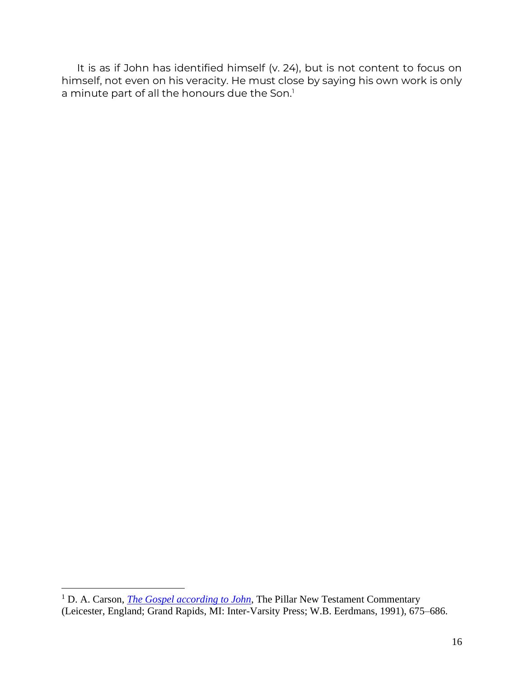It is as if John has identified himself (v. 24), but is not content to focus on himself, not even on his veracity. He must close by saying his own work is only a minute part of all the honours due the Son.<sup>1</sup>

<sup>&</sup>lt;sup>1</sup> D. A. Carson, *[The Gospel according to John](https://ref.ly/logosres/pntcjohn?ref=Bible.Jn21.15-24&off=32027)*, The Pillar New Testament Commentary (Leicester, England; Grand Rapids, MI: Inter-Varsity Press; W.B. Eerdmans, 1991), 675–686.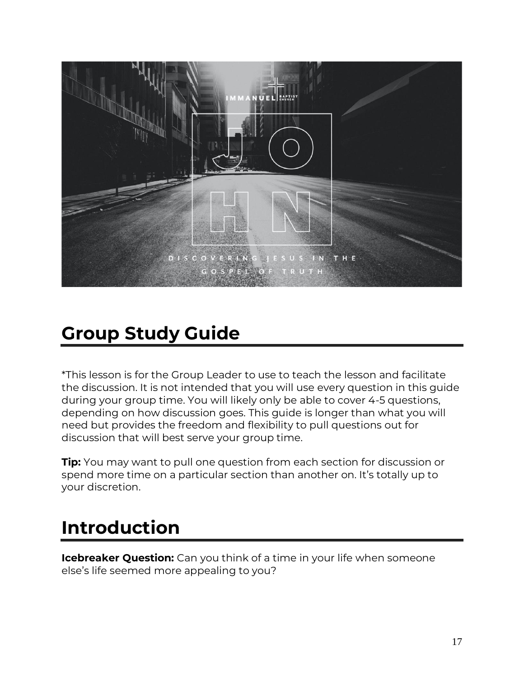

# **Group Study Guide**

\*This lesson is for the Group Leader to use to teach the lesson and facilitate the discussion. It is not intended that you will use every question in this guide during your group time. You will likely only be able to cover 4-5 questions, depending on how discussion goes. This guide is longer than what you will need but provides the freedom and flexibility to pull questions out for discussion that will best serve your group time.

**Tip:** You may want to pull one question from each section for discussion or spend more time on a particular section than another on. It's totally up to your discretion.

# **Introduction**

**Icebreaker Question:** Can you think of a time in your life when someone else's life seemed more appealing to you?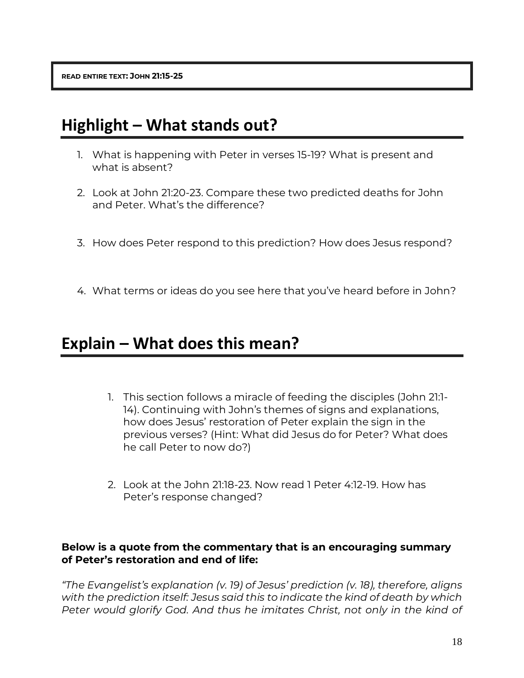# **Highlight – What stands out?**

- 1. What is happening with Peter in verses 15-19? What is present and what is absent?
- 2. Look at John 21:20-23. Compare these two predicted deaths for John and Peter. What's the difference?
- 3. How does Peter respond to this prediction? How does Jesus respond?
- 4. What terms or ideas do you see here that you've heard before in John?

### **Explain – What does this mean?**

- 1. This section follows a miracle of feeding the disciples (John 21:1- 14). Continuing with John's themes of signs and explanations, how does Jesus' restoration of Peter explain the sign in the previous verses? (Hint: What did Jesus do for Peter? What does he call Peter to now do?)
- 2. Look at the John 21:18-23. Now read 1 Peter 4:12-19. How has Peter's response changed?

#### **Below is a quote from the commentary that is an encouraging summary of Peter's restoration and end of life:**

*"The Evangelist's explanation (v. 19) of Jesus' prediction (v. 18), therefore, aligns with the prediction itself: Jesus said this to indicate the kind of death by which Peter would glorify God. And thus he imitates Christ, not only in the kind of*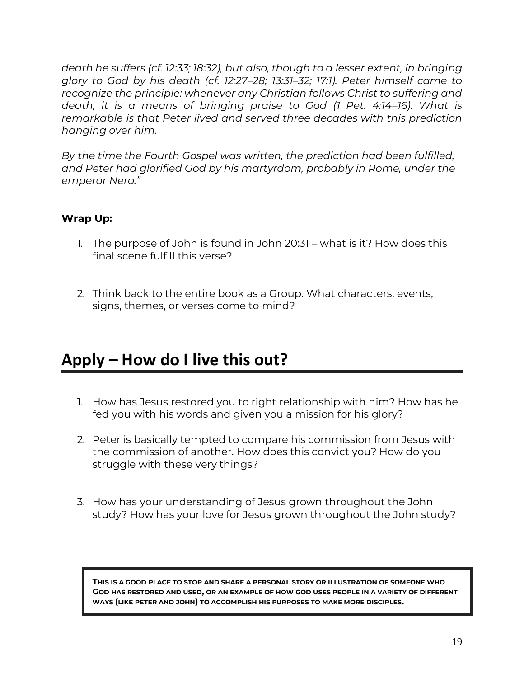*death he suffers (cf. 12:33; 18:32), but also, though to a lesser extent, in bringing glory to God by his death (cf. 12:27–28; 13:31–32; 17:1). Peter himself came to recognize the principle: whenever any Christian follows Christ to suffering and death, it is a means of bringing praise to God (1 Pet. 4:14–16). What is remarkable is that Peter lived and served three decades with this prediction hanging over him.*

*By the time the Fourth Gospel was written, the prediction had been fulfilled, and Peter had glorified God by his martyrdom, probably in Rome, under the emperor Nero."*

### **Wrap Up:**

- 1. The purpose of John is found in John 20:31 what is it? How does this final scene fulfill this verse?
- 2. Think back to the entire book as a Group. What characters, events, signs, themes, or verses come to mind?

### **Apply – How do I live this out?**

- 1. How has Jesus restored you to right relationship with him? How has he fed you with his words and given you a mission for his glory?
- 2. Peter is basically tempted to compare his commission from Jesus with the commission of another. How does this convict you? How do you struggle with these very things?
- 3. How has your understanding of Jesus grown throughout the John study? How has your love for Jesus grown throughout the John study?

**THIS IS A GOOD PLACE TO STOP AND SHARE A PERSONAL STORY OR ILLUSTRATION OF SOMEONE WHO GOD HAS RESTORED AND USED, OR AN EXAMPLE OF HOW GOD USES PEOPLE IN A VARIETY OF DIFFERENT WAYS (LIKE PETER AND JOHN) TO ACCOMPLISH HIS PURPOSES TO MAKE MORE DISCIPLES.**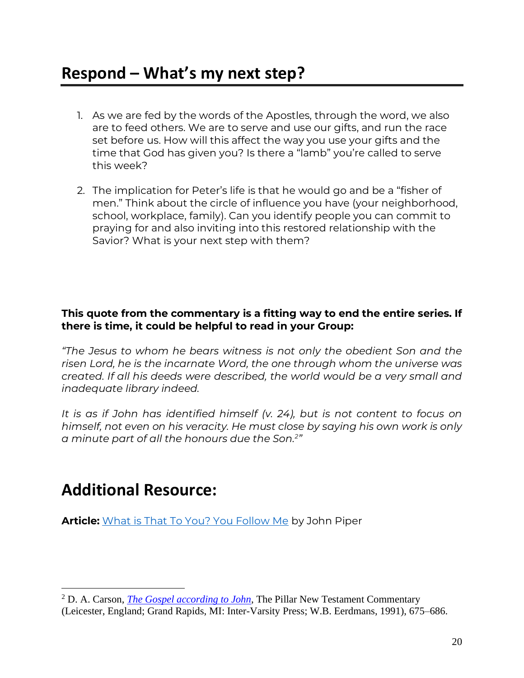- 1. As we are fed by the words of the Apostles, through the word, we also are to feed others. We are to serve and use our gifts, and run the race set before us. How will this affect the way you use your gifts and the time that God has given you? Is there a "lamb" you're called to serve this week?
- 2. The implication for Peter's life is that he would go and be a "fisher of men." Think about the circle of influence you have (your neighborhood, school, workplace, family). Can you identify people you can commit to praying for and also inviting into this restored relationship with the Savior? What is your next step with them?

#### **This quote from the commentary is a fitting way to end the entire series. If there is time, it could be helpful to read in your Group:**

*"The Jesus to whom he bears witness is not only the obedient Son and the risen Lord, he is the incarnate Word, the one through whom the universe was created. If all his deeds were described, the world would be a very small and inadequate library indeed.*

*It is as if John has identified himself (v. 24), but is not content to focus on himself, not even on his veracity. He must close by saying his own work is only a minute part of all the honours due the Son.<sup>2</sup> "*

# **Additional Resource:**

**Article:** [What is That To You? You Follow Me](https://www.desiringgod.org/articles/what-is-that-to-you-you-follow-me) by John Piper

<sup>2</sup> D. A. Carson, *[The Gospel according to John](https://ref.ly/logosres/pntcjohn?ref=Bible.Jn21.15-24&off=32027)*, The Pillar New Testament Commentary

<sup>(</sup>Leicester, England; Grand Rapids, MI: Inter-Varsity Press; W.B. Eerdmans, 1991), 675–686.